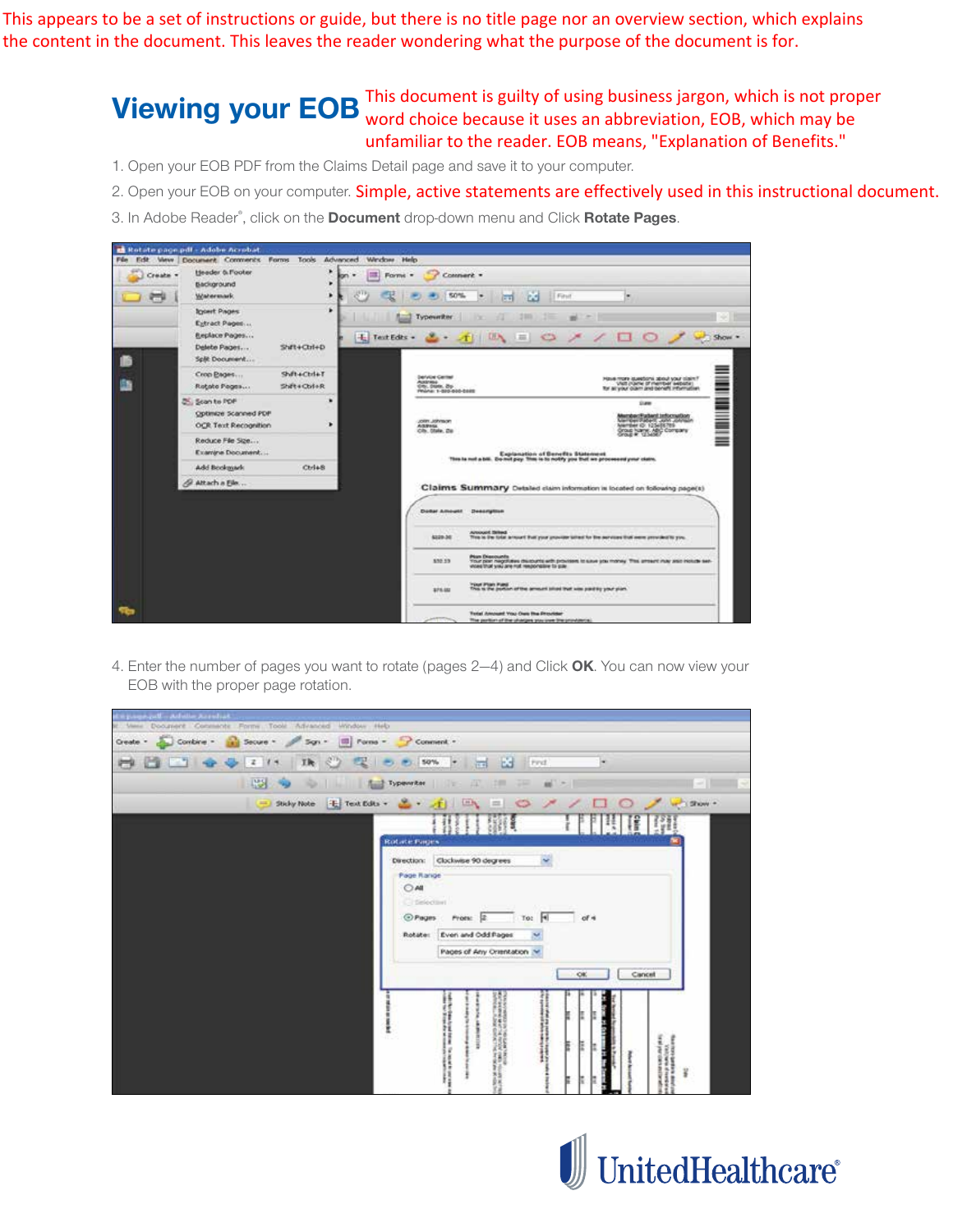This appears to be a set of instructions or guide, but there is no title page nor an overview section, which explains the content in the document. This leaves the reader wondering what the purpose of the document is for.

> **Viewing your EOB** This document is guilty of using business jargon, which is not proper View of the word choice because it uses an abbreviation. EOB, which may be word choice because it uses an abbreviation, EOB, which may be unfamiliar to the reader. EOB means, "Explanation of Benefits."

- 1. Open your EOB PDF from the Claims Detail page and save it to your computer.
- 2. Open your EOB on your computer. Simple, active statements are effectively used in this instructional document.
- 3. In Adobe Reader® , click on the **Document** drop-down menu and Click **Rotate Pages**.



4. Enter the number of pages you want to rotate (pages 2—4) and Click **OK**. You can now view your EOB with the proper page rotation.

| Accelerate with the company of the                         |                                                                                                                                                                                                  |
|------------------------------------------------------------|--------------------------------------------------------------------------------------------------------------------------------------------------------------------------------------------------|
| It Vens Document Comments Forms Tools Advanced Window Help |                                                                                                                                                                                                  |
| Oeste - Conbre - a Secure - Sgn - III Pane - P Connent -   |                                                                                                                                                                                                  |
| ◆ ◆ 2 74 功 ② 受 ● ● 50% → 日 凶 Fod                           |                                                                                                                                                                                                  |
| - 123 - 9<br><b>PERMIT</b>                                 | The Typewrite: The TIT<br>細っ<br>201 24                                                                                                                                                           |
|                                                            | → Suby Pate も Text Eds · △· イ 二 〇 ノ ノ □<br>$O \tightharpoonup$ where $\cdot$                                                                                                                     |
|                                                            | $\mathbb{F}$ $\mathbb{S}$<br><b>Rotate Fages</b><br>Direction: Clockwise 90 degrees<br>Page Range<br>OAI<br>Citiekeine<br>To: 4 of 4<br>Rotate: Even and Odd Pages<br>Pages of Any Orientation ~ |
|                                                            | OK<br>Cancel                                                                                                                                                                                     |

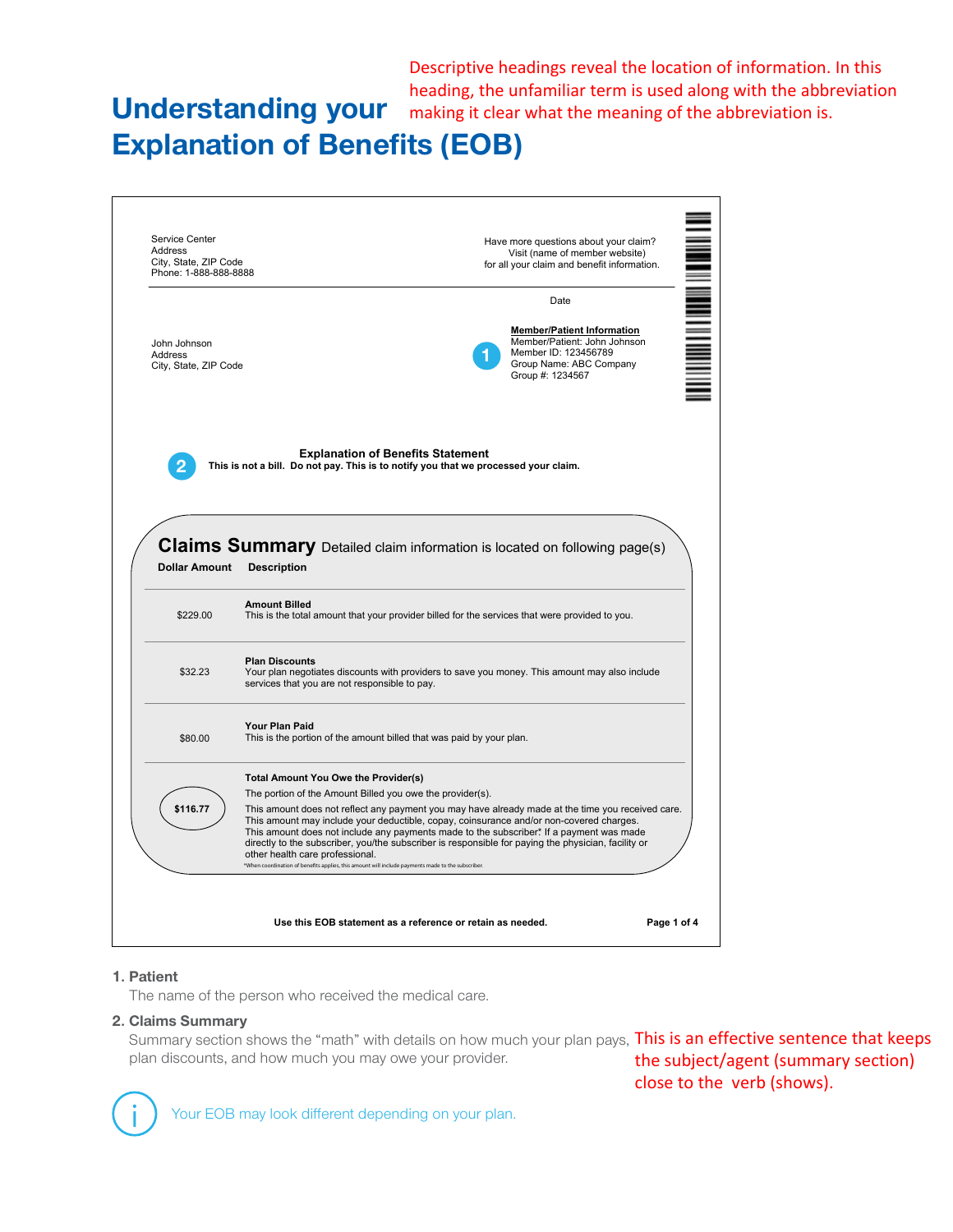**Understanding your** making it clear what the meaning of the abbreviation is. Descriptive headings reveal the location of information. In this heading, the unfamiliar term is used along with the abbreviation

# **Explanation of Benefits (EOB)**



## **1. Patient**

The name of the person who received the medical care.

#### **2. Claims Summary**

Summary section shows the "math" with details on how much your plan pays, This is an effective sentence that keeps plan discounts, and how much you may owe your provider. the subject/agent (summary section)

close to the verb (shows).

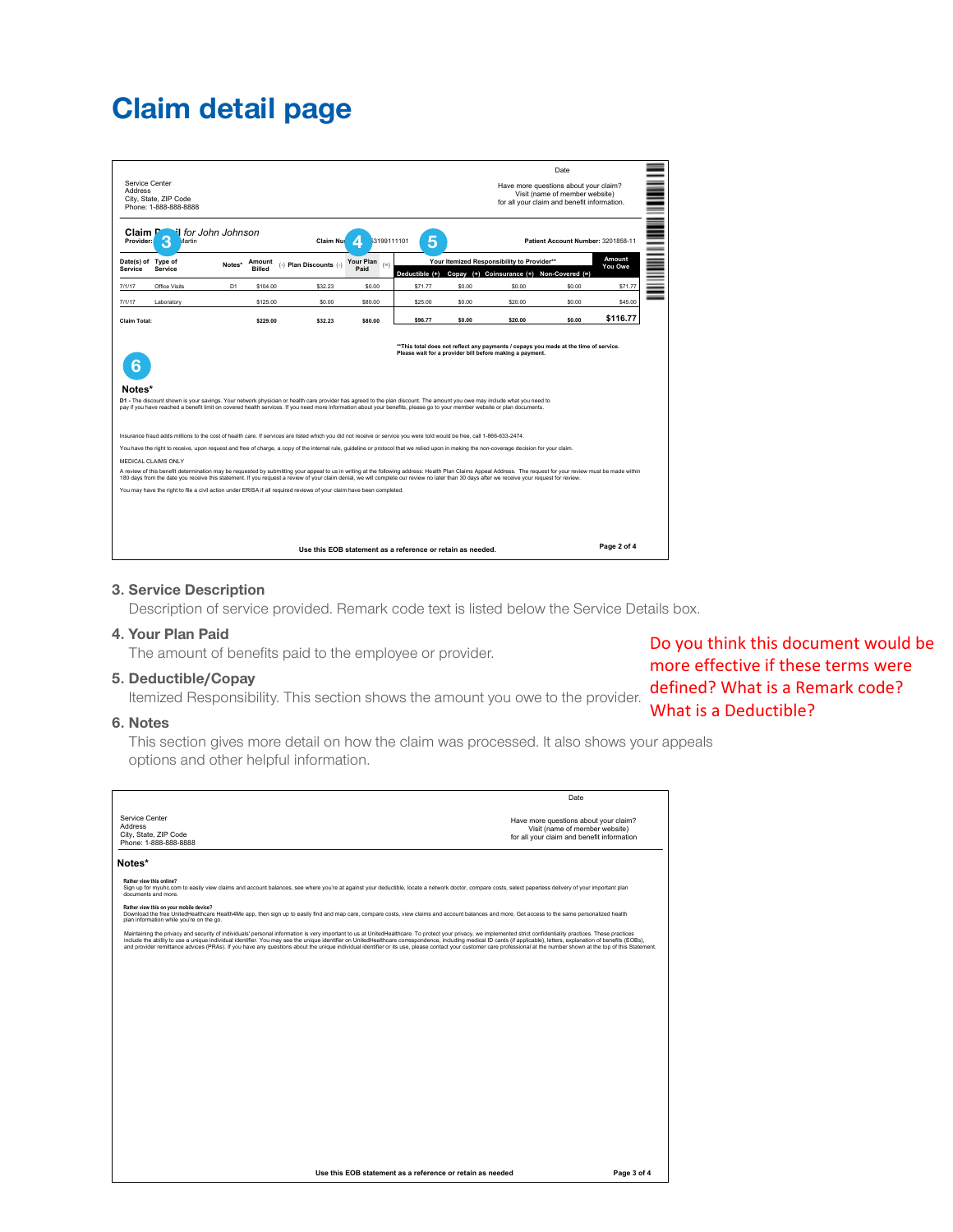# **Claim detail page**

| Service Center<br>Address     | City, State, ZIP Code<br>Phone: 1-888-888-8888 |                     |                                                                                                                                                                         |                        |                                   |         |        | Have more questions about your claim?<br>for all your claim and benefit information.                                                                                                                                                                                                                                                                                                                            | <b>Date</b><br>Visit (name of member website) |                   |
|-------------------------------|------------------------------------------------|---------------------|-------------------------------------------------------------------------------------------------------------------------------------------------------------------------|------------------------|-----------------------------------|---------|--------|-----------------------------------------------------------------------------------------------------------------------------------------------------------------------------------------------------------------------------------------------------------------------------------------------------------------------------------------------------------------------------------------------------------------|-----------------------------------------------|-------------------|
| Claim.<br>Provider:           | ß<br>Martin                                    | il for John Johnson |                                                                                                                                                                         | Claim Nul              | 3199111101<br>z                   | 5       |        |                                                                                                                                                                                                                                                                                                                                                                                                                 | Patient Account Number: 3201858-11            |                   |
| Date(s) of Type of<br>Service | Service                                        | Notes*              | Amount<br><b>Billed</b>                                                                                                                                                 | (-) Plan Discounts (-) | <b>Your Plan</b><br>$(=)$<br>Paid |         |        | Your Itemized Responsibility to Provider**<br>Deductible (+) Copay (+) Coinsurance (+) Non-Covered (=)                                                                                                                                                                                                                                                                                                          |                                               | Amount<br>You Owe |
| 7/1/17                        | Office Visits                                  | D <sub>1</sub>      | \$104.00                                                                                                                                                                | \$32.23                | \$0.00                            | \$71.77 | \$0.00 | \$0.00                                                                                                                                                                                                                                                                                                                                                                                                          | \$0.00                                        | \$71.77           |
| 7/1/17                        | Laboratory                                     |                     | \$125.00                                                                                                                                                                | \$0.00                 | \$80.00                           | \$25.00 | \$0.00 | \$20.00                                                                                                                                                                                                                                                                                                                                                                                                         | \$0.00                                        | \$45.00           |
| Claim Total:                  |                                                |                     | \$229.00                                                                                                                                                                | \$32.23                | \$80.00                           | \$96.77 | \$0.00 | \$20.00                                                                                                                                                                                                                                                                                                                                                                                                         | \$0.00                                        | \$116.77          |
| Notes*                        |                                                |                     |                                                                                                                                                                         |                        |                                   |         |        | D1 - The discount shown is your savings. Your network physician or health care provider has agreed to the plan discount. The amount you owe may include what you need to<br>pay if you have reached a benefit limit on covered health services. If you need more information about your benefits, please go to your member website or plan documents.                                                           |                                               |                   |
|                               |                                                |                     |                                                                                                                                                                         |                        |                                   |         |        |                                                                                                                                                                                                                                                                                                                                                                                                                 |                                               |                   |
|                               |                                                |                     | Insurance fraud adds millions to the cost of health care. If services are listed which you did not receive or service you were told would be free, call 1-866-633-2474. |                        |                                   |         |        |                                                                                                                                                                                                                                                                                                                                                                                                                 |                                               |                   |
|                               |                                                |                     |                                                                                                                                                                         |                        |                                   |         |        | You have the right to receive, upon request and free of charge, a copy of the internal rule, quideline or protocol that we relied upon in making the non-coverage decision for your claim.                                                                                                                                                                                                                      |                                               |                   |
|                               | MEDICAL CLAIMS ONLY                            |                     |                                                                                                                                                                         |                        |                                   |         |        | A review of this benefit determination may be requested by submitting your appeal to us in writing at the following address: Health Plan Claims Appeal Address. The request for your review must be made within<br>180 days from the date you receive this statement. If you request a review of your claim denial, we will complete our review no later than 30 days after we receive your request for review. |                                               |                   |
|                               |                                                |                     | You may have the right to file a civil action under ERISA if all required reviews of your claim have been completed.                                                    |                        |                                   |         |        |                                                                                                                                                                                                                                                                                                                                                                                                                 |                                               |                   |

### **3. Service Description**

Description of service provided. Remark code text is listed below the Service Details box.

## **4. Your Plan Paid**

The amount of benefits paid to the employee or provider.

#### **5. Deductible/Copay**

**Deductible, Oopay**<br>Itemized Responsibility. This section shows the amount you owe to the provider. **defined? What is a Remark code?** 

#### **6. Notes**

This section gives more detail on how the claim was processed. It also shows your appeals options and other helpful information.

|                                                                                                                                                                                                                                                                                                                                                                                                                                                                                                                                                                                                                                                                    | Date                                                                                                                  |
|--------------------------------------------------------------------------------------------------------------------------------------------------------------------------------------------------------------------------------------------------------------------------------------------------------------------------------------------------------------------------------------------------------------------------------------------------------------------------------------------------------------------------------------------------------------------------------------------------------------------------------------------------------------------|-----------------------------------------------------------------------------------------------------------------------|
| Service Center<br><b>Address</b><br>City, State, ZIP Code<br>Phone: 1-888-888-8888                                                                                                                                                                                                                                                                                                                                                                                                                                                                                                                                                                                 | Have more questions about your claim?<br>Visit (name of member website)<br>for all your claim and benefit information |
| Notes*                                                                                                                                                                                                                                                                                                                                                                                                                                                                                                                                                                                                                                                             |                                                                                                                       |
| Rather view this online?<br>Sign up for myuhc.com to easily view claims and account balances, see where you're at against your deductible, locate a network doctor, compare costs, select paperless delivery of your important plan<br>documents and more.                                                                                                                                                                                                                                                                                                                                                                                                         |                                                                                                                       |
| Rather view this on your mobile device?<br>Download the free UnitedHealthcare Health4Me app, then sign up to easily find and map care, compare costs, view claims and account balances and more. Get access to the same personalized health<br>plan information while you're on the go.                                                                                                                                                                                                                                                                                                                                                                            |                                                                                                                       |
| Maintaining the privacy and security of individuals' personal information is very important to us at UnitedHealthcare. To protect your privacy, we implemented strict confidentiality practices. These practices<br>include the ability to use a unique individual identifier. You may see the unique identifier on UnitedHealthcare correspondence, including medical ID cards (if applicable), letters, explanation of benefits (EOBs),<br>and provider remittance advices (PRAs). If you have any questions about the unique individual identifier or its use, please contact your customer care professional at the number shown at the top of this Statement. |                                                                                                                       |
|                                                                                                                                                                                                                                                                                                                                                                                                                                                                                                                                                                                                                                                                    |                                                                                                                       |
|                                                                                                                                                                                                                                                                                                                                                                                                                                                                                                                                                                                                                                                                    |                                                                                                                       |
|                                                                                                                                                                                                                                                                                                                                                                                                                                                                                                                                                                                                                                                                    |                                                                                                                       |
|                                                                                                                                                                                                                                                                                                                                                                                                                                                                                                                                                                                                                                                                    |                                                                                                                       |
|                                                                                                                                                                                                                                                                                                                                                                                                                                                                                                                                                                                                                                                                    |                                                                                                                       |
|                                                                                                                                                                                                                                                                                                                                                                                                                                                                                                                                                                                                                                                                    |                                                                                                                       |
|                                                                                                                                                                                                                                                                                                                                                                                                                                                                                                                                                                                                                                                                    |                                                                                                                       |
|                                                                                                                                                                                                                                                                                                                                                                                                                                                                                                                                                                                                                                                                    |                                                                                                                       |
|                                                                                                                                                                                                                                                                                                                                                                                                                                                                                                                                                                                                                                                                    |                                                                                                                       |
|                                                                                                                                                                                                                                                                                                                                                                                                                                                                                                                                                                                                                                                                    |                                                                                                                       |
| Use this EOB statement as a reference or retain as needed                                                                                                                                                                                                                                                                                                                                                                                                                                                                                                                                                                                                          | Page 3 of 4                                                                                                           |

Do you think this document would be more effective if these terms were What is a Deductible?